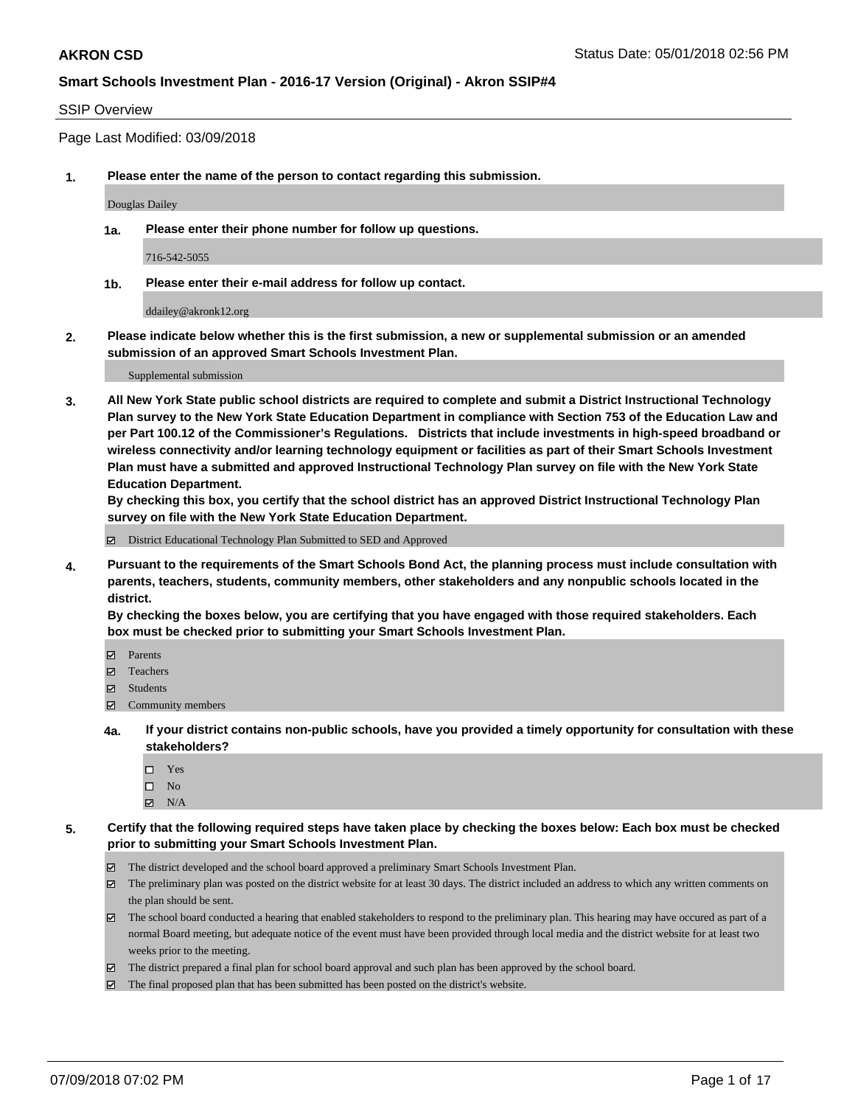### SSIP Overview

Page Last Modified: 03/09/2018

**1. Please enter the name of the person to contact regarding this submission.**

Douglas Dailey

**1a. Please enter their phone number for follow up questions.**

716-542-5055

**1b. Please enter their e-mail address for follow up contact.**

ddailey@akronk12.org

**2. Please indicate below whether this is the first submission, a new or supplemental submission or an amended submission of an approved Smart Schools Investment Plan.**

Supplemental submission

**3. All New York State public school districts are required to complete and submit a District Instructional Technology Plan survey to the New York State Education Department in compliance with Section 753 of the Education Law and per Part 100.12 of the Commissioner's Regulations. Districts that include investments in high-speed broadband or wireless connectivity and/or learning technology equipment or facilities as part of their Smart Schools Investment Plan must have a submitted and approved Instructional Technology Plan survey on file with the New York State Education Department.** 

**By checking this box, you certify that the school district has an approved District Instructional Technology Plan survey on file with the New York State Education Department.**

District Educational Technology Plan Submitted to SED and Approved

**4. Pursuant to the requirements of the Smart Schools Bond Act, the planning process must include consultation with parents, teachers, students, community members, other stakeholders and any nonpublic schools located in the district.** 

**By checking the boxes below, you are certifying that you have engaged with those required stakeholders. Each box must be checked prior to submitting your Smart Schools Investment Plan.**

- Parents
- Teachers
- Students
- Community members
- **4a. If your district contains non-public schools, have you provided a timely opportunity for consultation with these stakeholders?**
	- Yes
	- $\square$  No
	- $\boxtimes$  N/A
- **5. Certify that the following required steps have taken place by checking the boxes below: Each box must be checked prior to submitting your Smart Schools Investment Plan.**
	- The district developed and the school board approved a preliminary Smart Schools Investment Plan.
	- $\boxtimes$  The preliminary plan was posted on the district website for at least 30 days. The district included an address to which any written comments on the plan should be sent.
	- $\boxtimes$  The school board conducted a hearing that enabled stakeholders to respond to the preliminary plan. This hearing may have occured as part of a normal Board meeting, but adequate notice of the event must have been provided through local media and the district website for at least two weeks prior to the meeting.
	- The district prepared a final plan for school board approval and such plan has been approved by the school board.
	- $\boxtimes$  The final proposed plan that has been submitted has been posted on the district's website.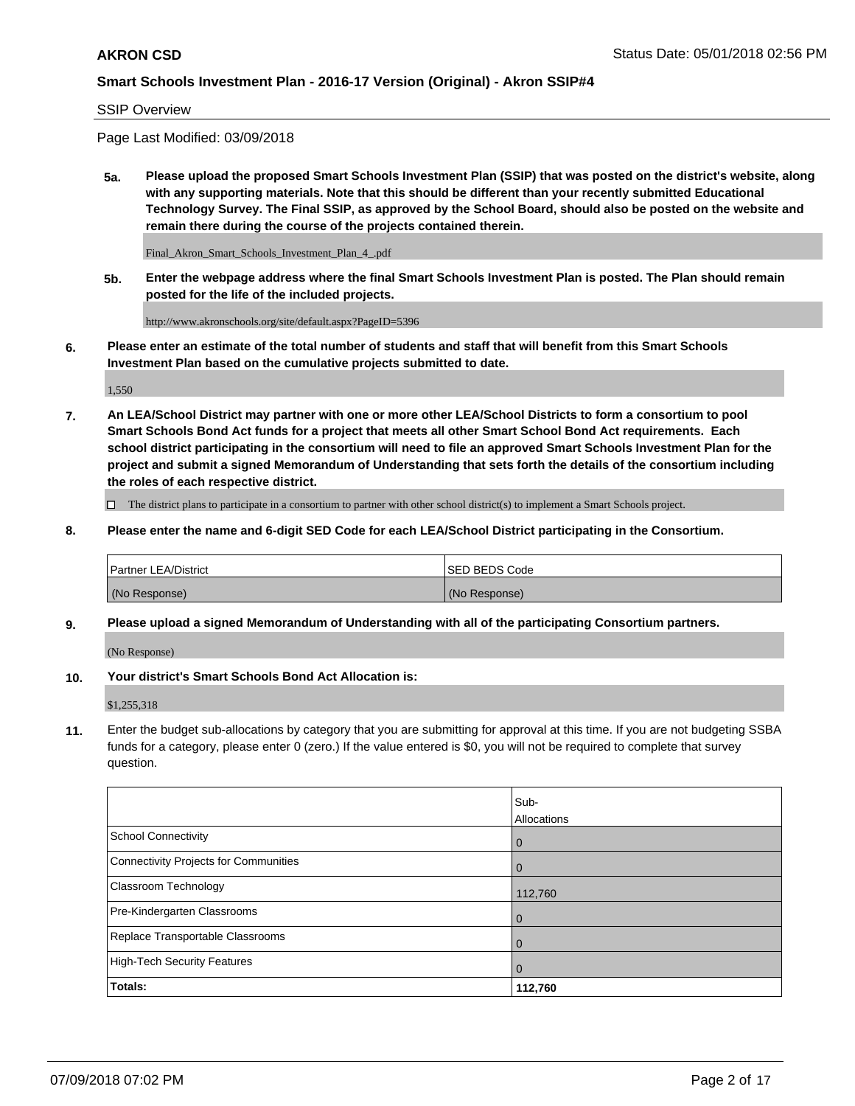SSIP Overview

Page Last Modified: 03/09/2018

**5a. Please upload the proposed Smart Schools Investment Plan (SSIP) that was posted on the district's website, along with any supporting materials. Note that this should be different than your recently submitted Educational Technology Survey. The Final SSIP, as approved by the School Board, should also be posted on the website and remain there during the course of the projects contained therein.**

Final\_Akron\_Smart\_Schools\_Investment\_Plan\_4\_.pdf

**5b. Enter the webpage address where the final Smart Schools Investment Plan is posted. The Plan should remain posted for the life of the included projects.**

http://www.akronschools.org/site/default.aspx?PageID=5396

**6. Please enter an estimate of the total number of students and staff that will benefit from this Smart Schools Investment Plan based on the cumulative projects submitted to date.**

1,550

**7. An LEA/School District may partner with one or more other LEA/School Districts to form a consortium to pool Smart Schools Bond Act funds for a project that meets all other Smart School Bond Act requirements. Each school district participating in the consortium will need to file an approved Smart Schools Investment Plan for the project and submit a signed Memorandum of Understanding that sets forth the details of the consortium including the roles of each respective district.**

 $\Box$  The district plans to participate in a consortium to partner with other school district(s) to implement a Smart Schools project.

**8. Please enter the name and 6-digit SED Code for each LEA/School District participating in the Consortium.**

| <b>Partner LEA/District</b> | <b>ISED BEDS Code</b> |
|-----------------------------|-----------------------|
| (No Response)               | (No Response)         |

#### **9. Please upload a signed Memorandum of Understanding with all of the participating Consortium partners.**

(No Response)

**10. Your district's Smart Schools Bond Act Allocation is:**

\$1,255,318

**11.** Enter the budget sub-allocations by category that you are submitting for approval at this time. If you are not budgeting SSBA funds for a category, please enter 0 (zero.) If the value entered is \$0, you will not be required to complete that survey question.

|                                       | Sub-<br><b>Allocations</b> |
|---------------------------------------|----------------------------|
| School Connectivity                   | l 0                        |
| Connectivity Projects for Communities | $\overline{0}$             |
| Classroom Technology                  | 112,760                    |
| Pre-Kindergarten Classrooms           | $\overline{0}$             |
| Replace Transportable Classrooms      | 0                          |
| High-Tech Security Features           | $\overline{0}$             |
| Totals:                               | 112,760                    |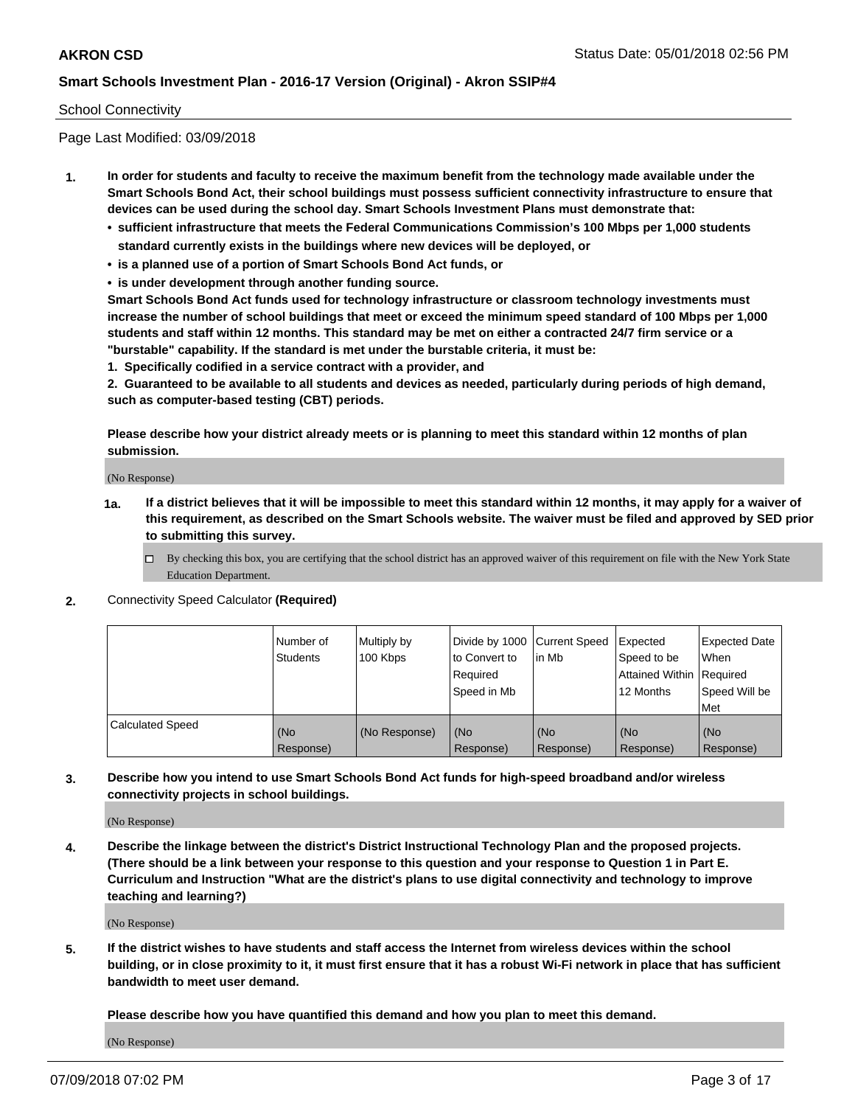### School Connectivity

Page Last Modified: 03/09/2018

- **1. In order for students and faculty to receive the maximum benefit from the technology made available under the Smart Schools Bond Act, their school buildings must possess sufficient connectivity infrastructure to ensure that devices can be used during the school day. Smart Schools Investment Plans must demonstrate that:**
	- **• sufficient infrastructure that meets the Federal Communications Commission's 100 Mbps per 1,000 students standard currently exists in the buildings where new devices will be deployed, or**
	- **• is a planned use of a portion of Smart Schools Bond Act funds, or**
	- **• is under development through another funding source.**

**Smart Schools Bond Act funds used for technology infrastructure or classroom technology investments must increase the number of school buildings that meet or exceed the minimum speed standard of 100 Mbps per 1,000 students and staff within 12 months. This standard may be met on either a contracted 24/7 firm service or a "burstable" capability. If the standard is met under the burstable criteria, it must be:**

**1. Specifically codified in a service contract with a provider, and**

**2. Guaranteed to be available to all students and devices as needed, particularly during periods of high demand, such as computer-based testing (CBT) periods.**

**Please describe how your district already meets or is planning to meet this standard within 12 months of plan submission.**

(No Response)

- **1a. If a district believes that it will be impossible to meet this standard within 12 months, it may apply for a waiver of this requirement, as described on the Smart Schools website. The waiver must be filed and approved by SED prior to submitting this survey.**
	- By checking this box, you are certifying that the school district has an approved waiver of this requirement on file with the New York State Education Department.
- **2.** Connectivity Speed Calculator **(Required)**

|                         | l Number of<br>Students | Multiply by<br>100 Kbps | Divide by 1000 Current Speed<br>to Convert to<br>Required<br>Speed in Mb | lin Mb           | Expected<br>Speed to be<br>Attained Within   Required<br>12 Months | <b>Expected Date</b><br>When<br>Speed Will be<br>Met |
|-------------------------|-------------------------|-------------------------|--------------------------------------------------------------------------|------------------|--------------------------------------------------------------------|------------------------------------------------------|
| <b>Calculated Speed</b> | (No<br>Response)        | (No Response)           | (No<br>Response)                                                         | (No<br>Response) | (No<br>Response)                                                   | l (No<br>Response)                                   |

**3. Describe how you intend to use Smart Schools Bond Act funds for high-speed broadband and/or wireless connectivity projects in school buildings.**

(No Response)

**4. Describe the linkage between the district's District Instructional Technology Plan and the proposed projects. (There should be a link between your response to this question and your response to Question 1 in Part E. Curriculum and Instruction "What are the district's plans to use digital connectivity and technology to improve teaching and learning?)**

(No Response)

**5. If the district wishes to have students and staff access the Internet from wireless devices within the school building, or in close proximity to it, it must first ensure that it has a robust Wi-Fi network in place that has sufficient bandwidth to meet user demand.**

**Please describe how you have quantified this demand and how you plan to meet this demand.**

(No Response)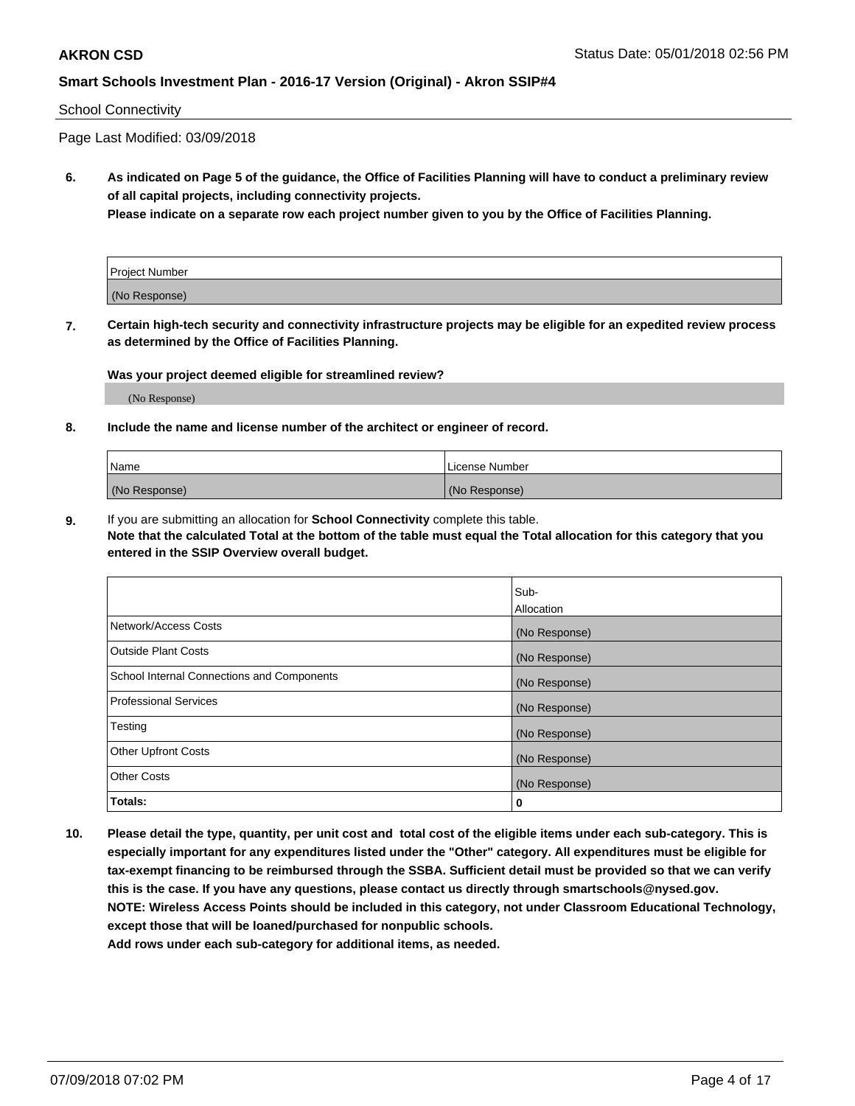#### School Connectivity

Page Last Modified: 03/09/2018

**6. As indicated on Page 5 of the guidance, the Office of Facilities Planning will have to conduct a preliminary review of all capital projects, including connectivity projects.**

**Please indicate on a separate row each project number given to you by the Office of Facilities Planning.**

| Project Number |  |
|----------------|--|
| (No Response)  |  |

**7. Certain high-tech security and connectivity infrastructure projects may be eligible for an expedited review process as determined by the Office of Facilities Planning.**

#### **Was your project deemed eligible for streamlined review?**

(No Response)

#### **8. Include the name and license number of the architect or engineer of record.**

| Name          | License Number |
|---------------|----------------|
| (No Response) | (No Response)  |

**9.** If you are submitting an allocation for **School Connectivity** complete this table.

**Note that the calculated Total at the bottom of the table must equal the Total allocation for this category that you entered in the SSIP Overview overall budget.** 

|                                            | Sub-          |
|--------------------------------------------|---------------|
|                                            | Allocation    |
| Network/Access Costs                       | (No Response) |
| Outside Plant Costs                        | (No Response) |
| School Internal Connections and Components | (No Response) |
| Professional Services                      | (No Response) |
| Testing                                    | (No Response) |
| <b>Other Upfront Costs</b>                 | (No Response) |
| <b>Other Costs</b>                         | (No Response) |
| Totals:                                    | 0             |

**10. Please detail the type, quantity, per unit cost and total cost of the eligible items under each sub-category. This is especially important for any expenditures listed under the "Other" category. All expenditures must be eligible for tax-exempt financing to be reimbursed through the SSBA. Sufficient detail must be provided so that we can verify this is the case. If you have any questions, please contact us directly through smartschools@nysed.gov. NOTE: Wireless Access Points should be included in this category, not under Classroom Educational Technology, except those that will be loaned/purchased for nonpublic schools.**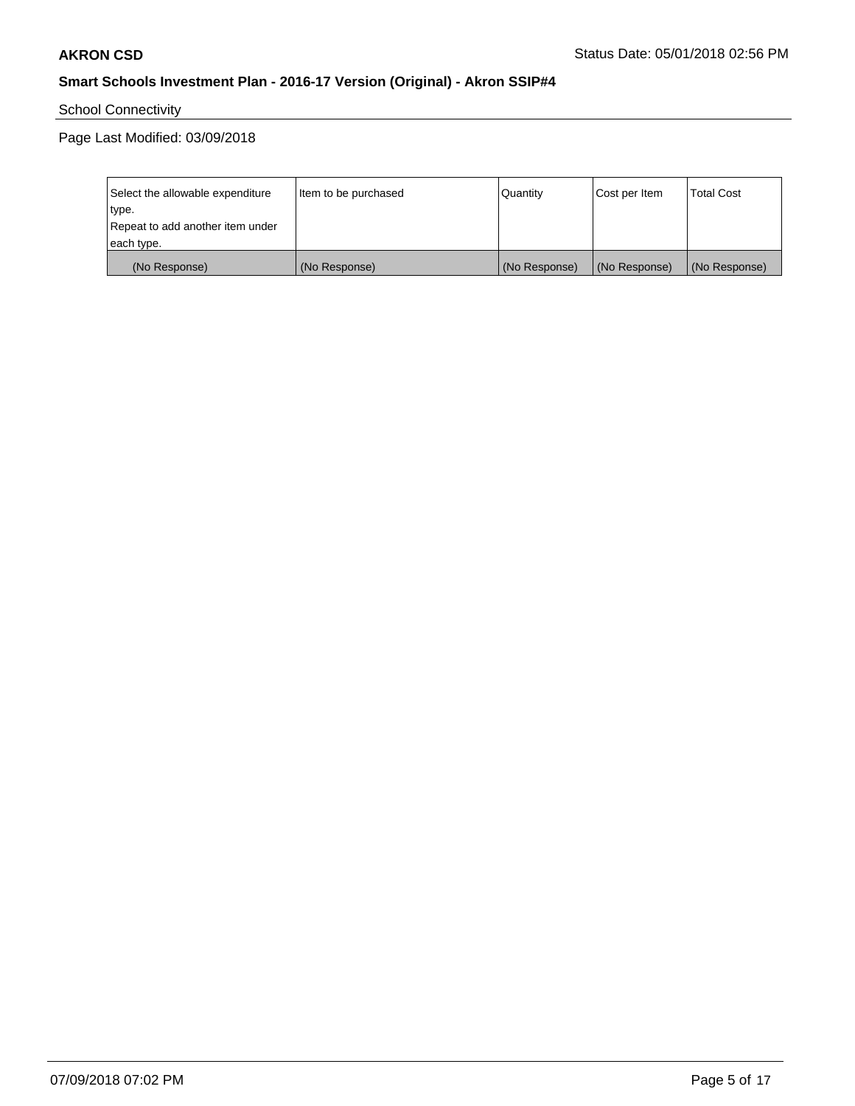School Connectivity

| Select the allowable expenditure | Item to be purchased | Quantity      | Cost per Item | <b>Total Cost</b> |
|----------------------------------|----------------------|---------------|---------------|-------------------|
| type.                            |                      |               |               |                   |
| Repeat to add another item under |                      |               |               |                   |
| each type.                       |                      |               |               |                   |
| (No Response)                    | (No Response)        | (No Response) | (No Response) | (No Response)     |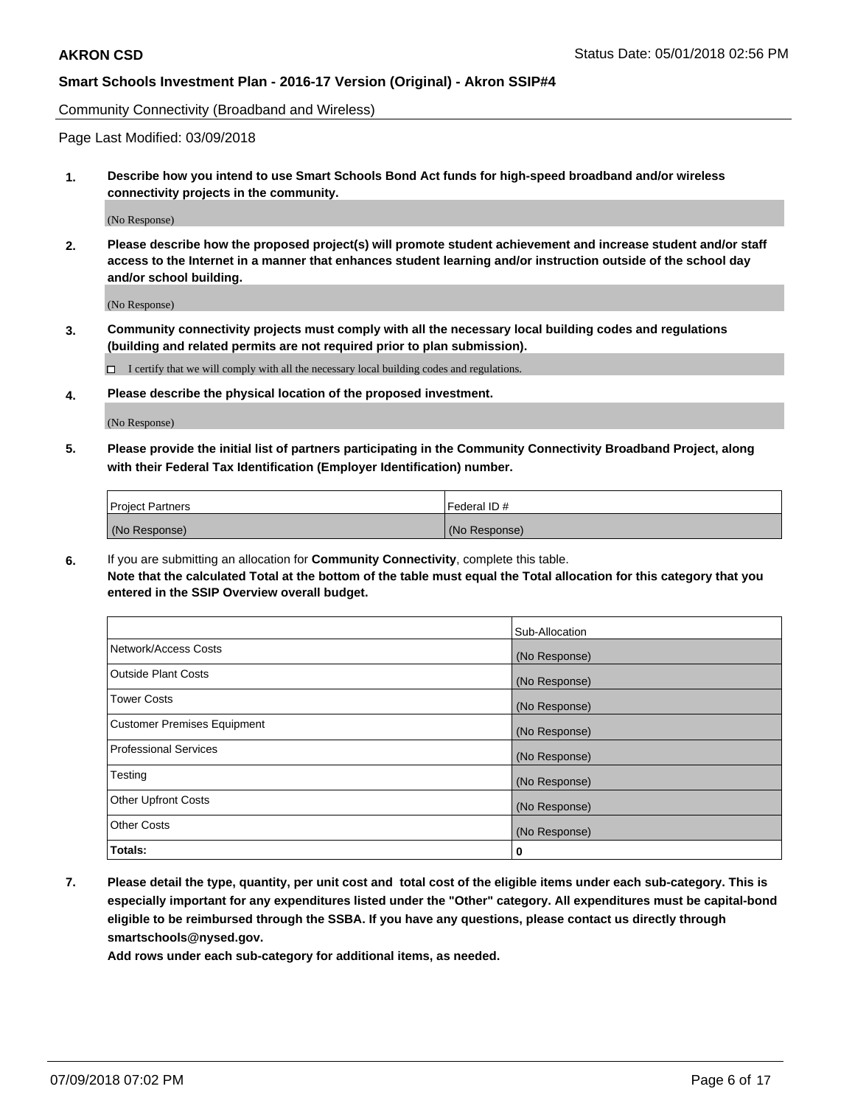Community Connectivity (Broadband and Wireless)

Page Last Modified: 03/09/2018

**1. Describe how you intend to use Smart Schools Bond Act funds for high-speed broadband and/or wireless connectivity projects in the community.**

(No Response)

**2. Please describe how the proposed project(s) will promote student achievement and increase student and/or staff access to the Internet in a manner that enhances student learning and/or instruction outside of the school day and/or school building.**

(No Response)

**3. Community connectivity projects must comply with all the necessary local building codes and regulations (building and related permits are not required prior to plan submission).**

 $\Box$  I certify that we will comply with all the necessary local building codes and regulations.

**4. Please describe the physical location of the proposed investment.**

(No Response)

**5. Please provide the initial list of partners participating in the Community Connectivity Broadband Project, along with their Federal Tax Identification (Employer Identification) number.**

| <b>Project Partners</b> | l Federal ID # |
|-------------------------|----------------|
| (No Response)           | (No Response)  |

**6.** If you are submitting an allocation for **Community Connectivity**, complete this table. **Note that the calculated Total at the bottom of the table must equal the Total allocation for this category that you entered in the SSIP Overview overall budget.**

|                                    | Sub-Allocation |
|------------------------------------|----------------|
| Network/Access Costs               | (No Response)  |
| Outside Plant Costs                | (No Response)  |
| <b>Tower Costs</b>                 | (No Response)  |
| <b>Customer Premises Equipment</b> | (No Response)  |
| <b>Professional Services</b>       | (No Response)  |
| Testing                            | (No Response)  |
| <b>Other Upfront Costs</b>         | (No Response)  |
| <b>Other Costs</b>                 | (No Response)  |
| Totals:                            | 0              |

**7. Please detail the type, quantity, per unit cost and total cost of the eligible items under each sub-category. This is especially important for any expenditures listed under the "Other" category. All expenditures must be capital-bond eligible to be reimbursed through the SSBA. If you have any questions, please contact us directly through smartschools@nysed.gov.**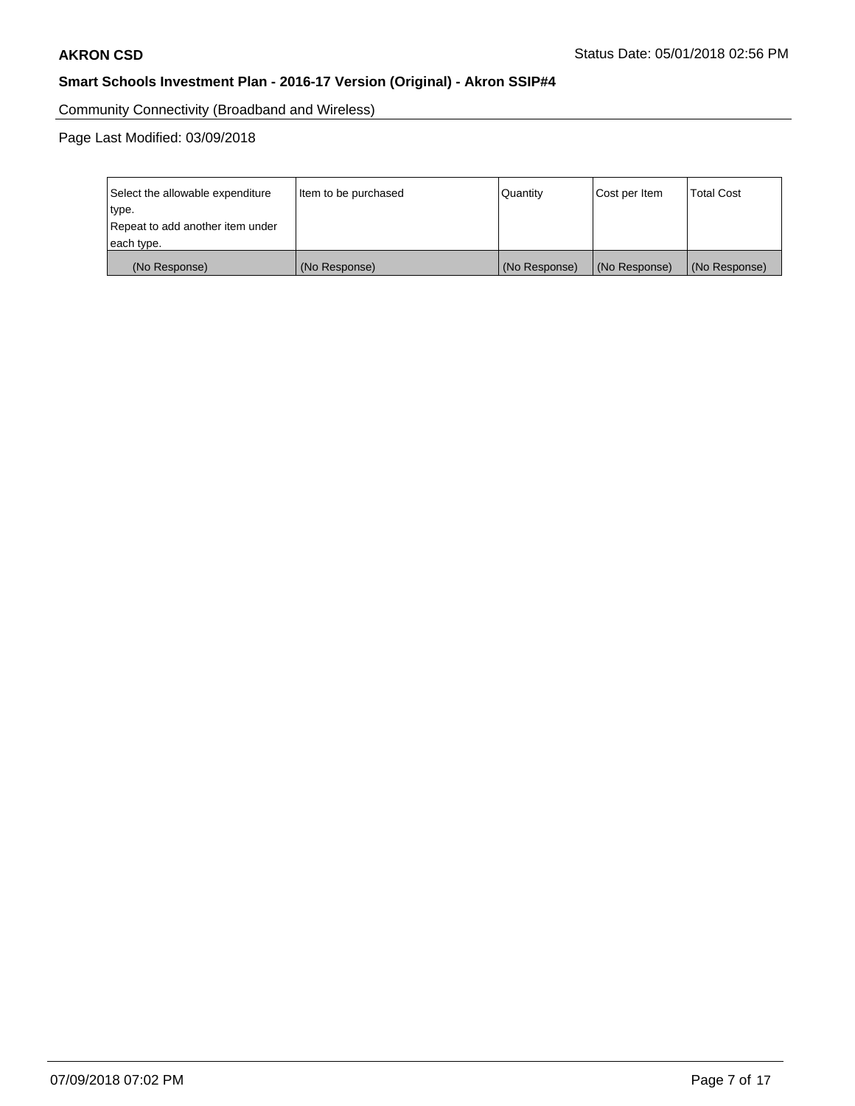Community Connectivity (Broadband and Wireless)

| Select the allowable expenditure | Item to be purchased | <b>Quantity</b> | Cost per Item | <b>Total Cost</b> |
|----------------------------------|----------------------|-----------------|---------------|-------------------|
| type.                            |                      |                 |               |                   |
| Repeat to add another item under |                      |                 |               |                   |
| each type.                       |                      |                 |               |                   |
| (No Response)                    | (No Response)        | (No Response)   | (No Response) | (No Response)     |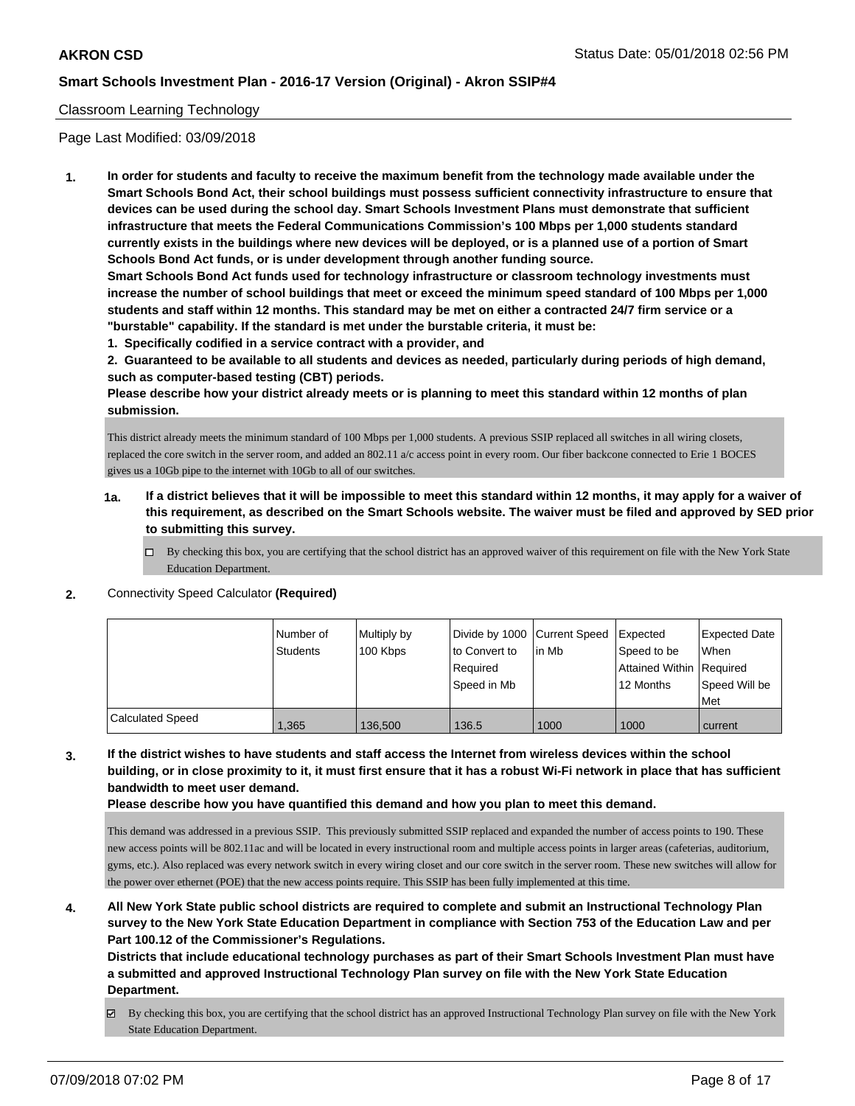### Classroom Learning Technology

Page Last Modified: 03/09/2018

**1. In order for students and faculty to receive the maximum benefit from the technology made available under the Smart Schools Bond Act, their school buildings must possess sufficient connectivity infrastructure to ensure that devices can be used during the school day. Smart Schools Investment Plans must demonstrate that sufficient infrastructure that meets the Federal Communications Commission's 100 Mbps per 1,000 students standard currently exists in the buildings where new devices will be deployed, or is a planned use of a portion of Smart Schools Bond Act funds, or is under development through another funding source.**

**Smart Schools Bond Act funds used for technology infrastructure or classroom technology investments must increase the number of school buildings that meet or exceed the minimum speed standard of 100 Mbps per 1,000 students and staff within 12 months. This standard may be met on either a contracted 24/7 firm service or a "burstable" capability. If the standard is met under the burstable criteria, it must be:**

**1. Specifically codified in a service contract with a provider, and**

**2. Guaranteed to be available to all students and devices as needed, particularly during periods of high demand, such as computer-based testing (CBT) periods.**

**Please describe how your district already meets or is planning to meet this standard within 12 months of plan submission.**

This district already meets the minimum standard of 100 Mbps per 1,000 students. A previous SSIP replaced all switches in all wiring closets, replaced the core switch in the server room, and added an 802.11 a/c access point in every room. Our fiber backcone connected to Erie 1 BOCES gives us a 10Gb pipe to the internet with 10Gb to all of our switches.

- **1a. If a district believes that it will be impossible to meet this standard within 12 months, it may apply for a waiver of this requirement, as described on the Smart Schools website. The waiver must be filed and approved by SED prior to submitting this survey.**
	- By checking this box, you are certifying that the school district has an approved waiver of this requirement on file with the New York State Education Department.
- **2.** Connectivity Speed Calculator **(Required)**

|                         | Number of<br><b>Students</b> | Multiply by<br>100 Kbps | Divide by 1000 Current Speed<br>to Convert to<br>Required<br>Speed in Mb | lin Mb | Expected<br>Speed to be<br>Attained Within   Required<br>12 Months | <b>Expected Date</b><br>When<br>Speed Will be<br>l Met |
|-------------------------|------------------------------|-------------------------|--------------------------------------------------------------------------|--------|--------------------------------------------------------------------|--------------------------------------------------------|
| <b>Calculated Speed</b> | 1,365                        | 136,500                 | 136.5                                                                    | 1000   | 1000                                                               | current                                                |

**3. If the district wishes to have students and staff access the Internet from wireless devices within the school building, or in close proximity to it, it must first ensure that it has a robust Wi-Fi network in place that has sufficient bandwidth to meet user demand.**

**Please describe how you have quantified this demand and how you plan to meet this demand.**

This demand was addressed in a previous SSIP. This previously submitted SSIP replaced and expanded the number of access points to 190. These new access points will be 802.11ac and will be located in every instructional room and multiple access points in larger areas (cafeterias, auditorium, gyms, etc.). Also replaced was every network switch in every wiring closet and our core switch in the server room. These new switches will allow for the power over ethernet (POE) that the new access points require. This SSIP has been fully implemented at this time.

**4. All New York State public school districts are required to complete and submit an Instructional Technology Plan survey to the New York State Education Department in compliance with Section 753 of the Education Law and per Part 100.12 of the Commissioner's Regulations.**

**Districts that include educational technology purchases as part of their Smart Schools Investment Plan must have a submitted and approved Instructional Technology Plan survey on file with the New York State Education Department.**

By checking this box, you are certifying that the school district has an approved Instructional Technology Plan survey on file with the New York State Education Department.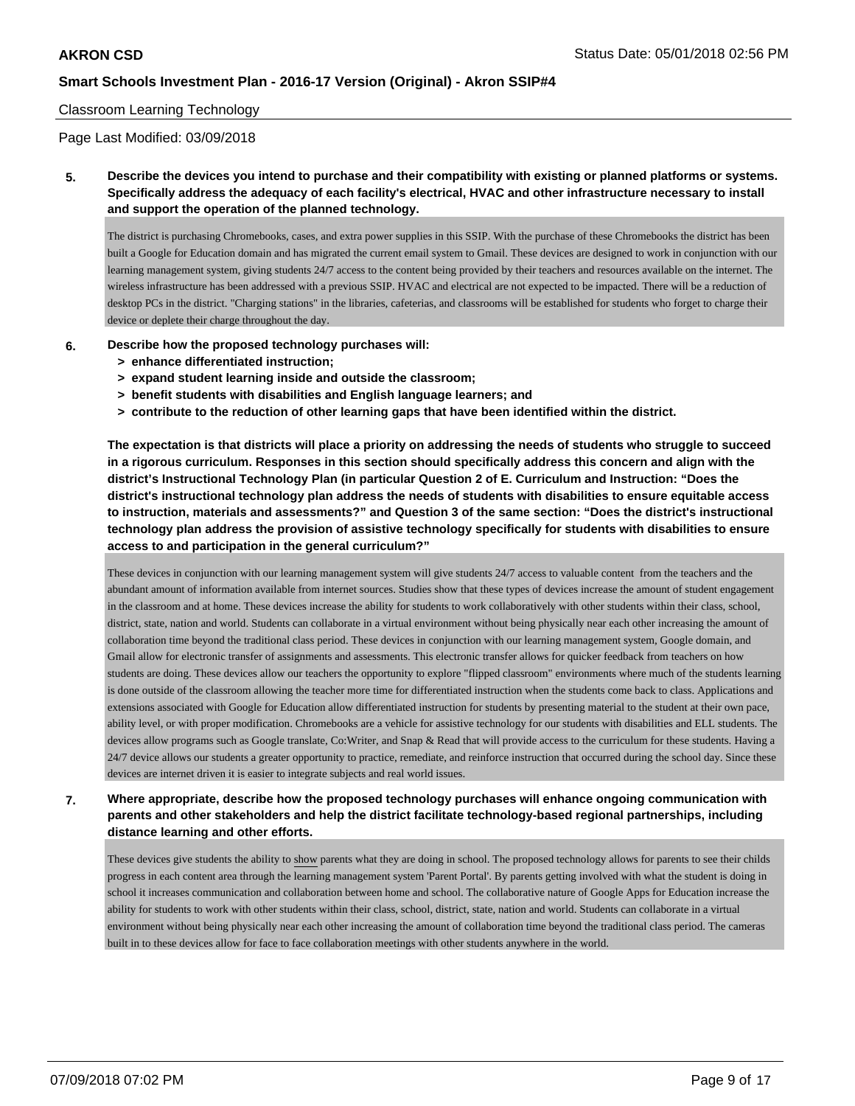#### Classroom Learning Technology

Page Last Modified: 03/09/2018

**5. Describe the devices you intend to purchase and their compatibility with existing or planned platforms or systems. Specifically address the adequacy of each facility's electrical, HVAC and other infrastructure necessary to install and support the operation of the planned technology.**

The district is purchasing Chromebooks, cases, and extra power supplies in this SSIP. With the purchase of these Chromebooks the district has been built a Google for Education domain and has migrated the current email system to Gmail. These devices are designed to work in conjunction with our learning management system, giving students 24/7 access to the content being provided by their teachers and resources available on the internet. The wireless infrastructure has been addressed with a previous SSIP. HVAC and electrical are not expected to be impacted. There will be a reduction of desktop PCs in the district. "Charging stations" in the libraries, cafeterias, and classrooms will be established for students who forget to charge their device or deplete their charge throughout the day.

- **6. Describe how the proposed technology purchases will:**
	- **> enhance differentiated instruction;**
	- **> expand student learning inside and outside the classroom;**
	- **> benefit students with disabilities and English language learners; and**
	- **> contribute to the reduction of other learning gaps that have been identified within the district.**

**The expectation is that districts will place a priority on addressing the needs of students who struggle to succeed in a rigorous curriculum. Responses in this section should specifically address this concern and align with the district's Instructional Technology Plan (in particular Question 2 of E. Curriculum and Instruction: "Does the district's instructional technology plan address the needs of students with disabilities to ensure equitable access to instruction, materials and assessments?" and Question 3 of the same section: "Does the district's instructional technology plan address the provision of assistive technology specifically for students with disabilities to ensure access to and participation in the general curriculum?"**

These devices in conjunction with our learning management system will give students 24/7 access to valuable content from the teachers and the abundant amount of information available from internet sources. Studies show that these types of devices increase the amount of student engagement in the classroom and at home. These devices increase the ability for students to work collaboratively with other students within their class, school, district, state, nation and world. Students can collaborate in a virtual environment without being physically near each other increasing the amount of collaboration time beyond the traditional class period. These devices in conjunction with our learning management system, Google domain, and Gmail allow for electronic transfer of assignments and assessments. This electronic transfer allows for quicker feedback from teachers on how students are doing. These devices allow our teachers the opportunity to explore "flipped classroom" environments where much of the students learning is done outside of the classroom allowing the teacher more time for differentiated instruction when the students come back to class. Applications and extensions associated with Google for Education allow differentiated instruction for students by presenting material to the student at their own pace, ability level, or with proper modification. Chromebooks are a vehicle for assistive technology for our students with disabilities and ELL students. The devices allow programs such as Google translate, Co:Writer, and Snap & Read that will provide access to the curriculum for these students. Having a 24/7 device allows our students a greater opportunity to practice, remediate, and reinforce instruction that occurred during the school day. Since these devices are internet driven it is easier to integrate subjects and real world issues.

**7. Where appropriate, describe how the proposed technology purchases will enhance ongoing communication with parents and other stakeholders and help the district facilitate technology-based regional partnerships, including distance learning and other efforts.**

These devices give students the ability to show parents what they are doing in school. The proposed technology allows for parents to see their childs progress in each content area through the learning management system 'Parent Portal'. By parents getting involved with what the student is doing in school it increases communication and collaboration between home and school. The collaborative nature of Google Apps for Education increase the ability for students to work with other students within their class, school, district, state, nation and world. Students can collaborate in a virtual environment without being physically near each other increasing the amount of collaboration time beyond the traditional class period. The cameras built in to these devices allow for face to face collaboration meetings with other students anywhere in the world.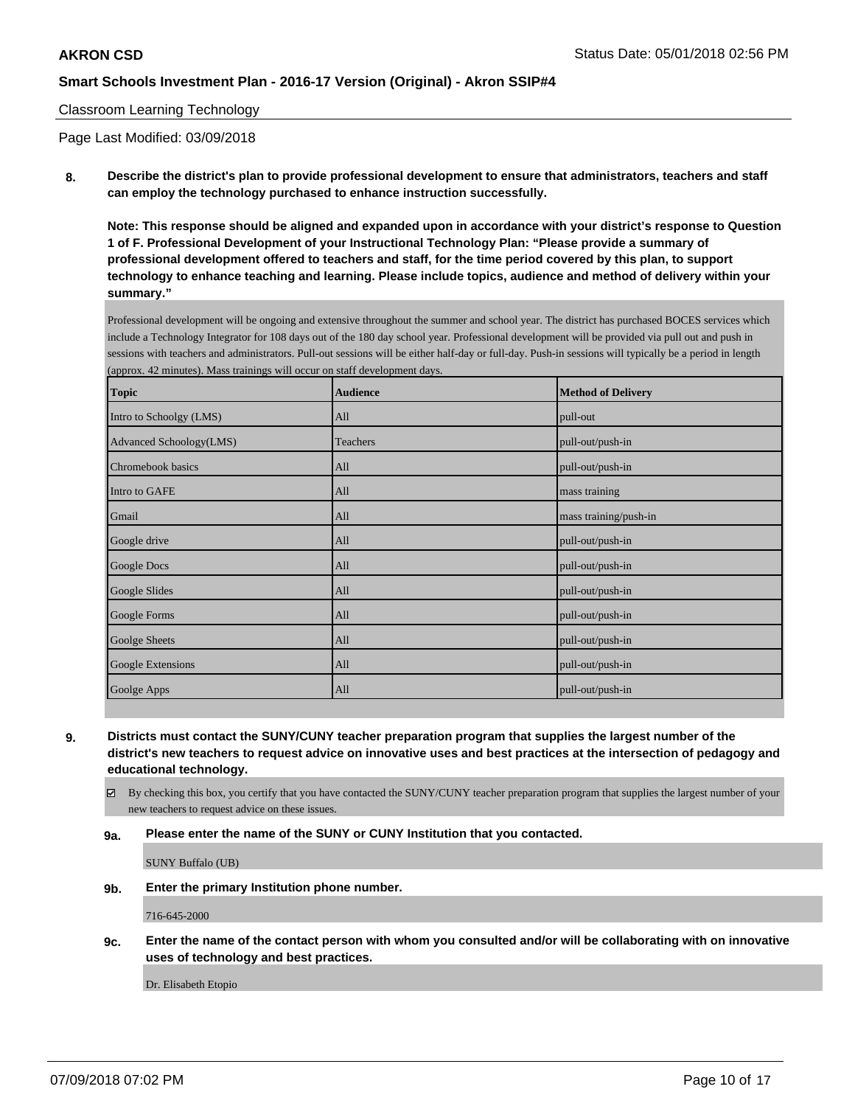### Classroom Learning Technology

Page Last Modified: 03/09/2018

**8. Describe the district's plan to provide professional development to ensure that administrators, teachers and staff can employ the technology purchased to enhance instruction successfully.**

**Note: This response should be aligned and expanded upon in accordance with your district's response to Question 1 of F. Professional Development of your Instructional Technology Plan: "Please provide a summary of professional development offered to teachers and staff, for the time period covered by this plan, to support technology to enhance teaching and learning. Please include topics, audience and method of delivery within your summary."**

Professional development will be ongoing and extensive throughout the summer and school year. The district has purchased BOCES services which include a Technology Integrator for 108 days out of the 180 day school year. Professional development will be provided via pull out and push in sessions with teachers and administrators. Pull-out sessions will be either half-day or full-day. Push-in sessions will typically be a period in length (approx. 42 minutes). Mass trainings will occur on staff development days.

| <b>Topic</b>            | <b>Audience</b> | <b>Method of Delivery</b> |
|-------------------------|-----------------|---------------------------|
| Intro to Schoolgy (LMS) | All             | pull-out                  |
| Advanced Schoology(LMS) | Teachers        | pull-out/push-in          |
| Chromebook basics       | All             | pull-out/push-in          |
| Intro to GAFE           | All             | mass training             |
| Gmail                   | All             | mass training/push-in     |
| Google drive            | All             | pull-out/push-in          |
| Google Docs             | All             | pull-out/push-in          |
| <b>Google Slides</b>    | All             | pull-out/push-in          |
| Google Forms            | All             | pull-out/push-in          |
| Goolge Sheets           | All             | pull-out/push-in          |
| Google Extensions       | All             | pull-out/push-in          |
| Goolge Apps             | All             | pull-out/push-in          |

**9. Districts must contact the SUNY/CUNY teacher preparation program that supplies the largest number of the district's new teachers to request advice on innovative uses and best practices at the intersection of pedagogy and educational technology.**

 $\boxtimes$  By checking this box, you certify that you have contacted the SUNY/CUNY teacher preparation program that supplies the largest number of your new teachers to request advice on these issues.

**9a. Please enter the name of the SUNY or CUNY Institution that you contacted.**

SUNY Buffalo (UB)

**9b. Enter the primary Institution phone number.**

716-645-2000

**9c. Enter the name of the contact person with whom you consulted and/or will be collaborating with on innovative uses of technology and best practices.**

Dr. Elisabeth Etopio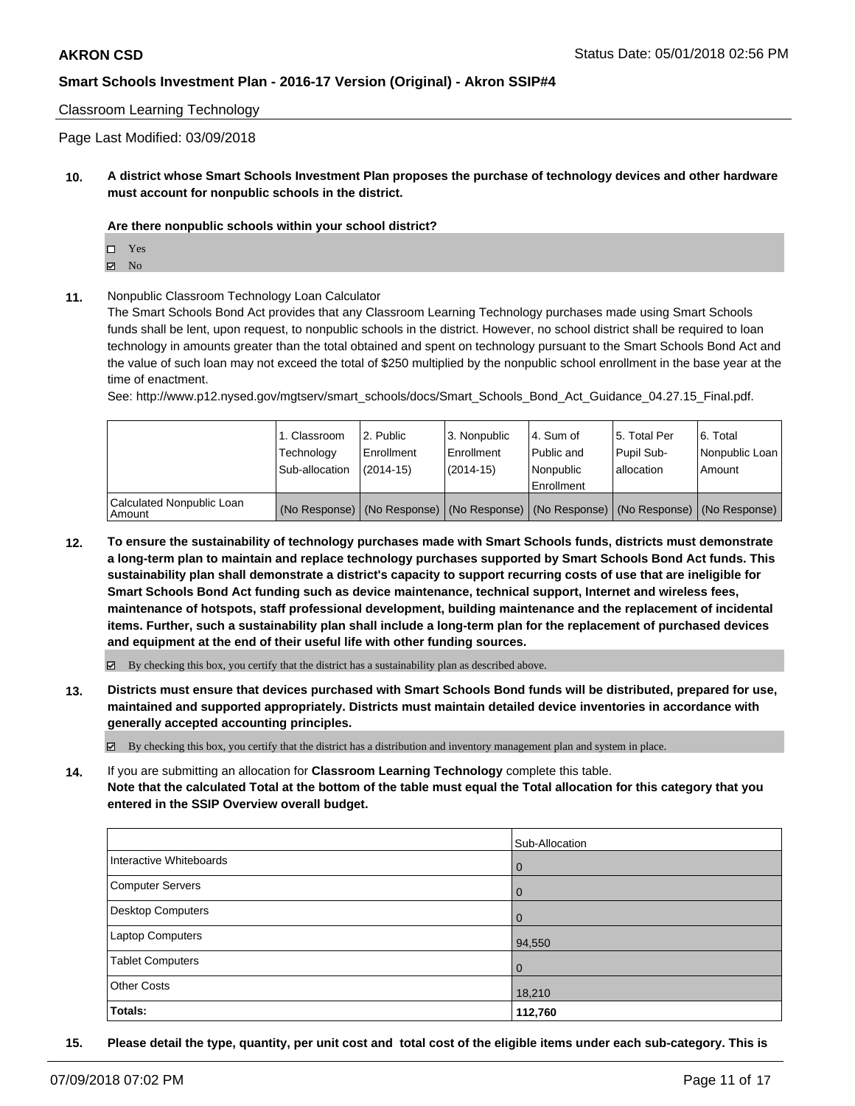### Classroom Learning Technology

Page Last Modified: 03/09/2018

**10. A district whose Smart Schools Investment Plan proposes the purchase of technology devices and other hardware must account for nonpublic schools in the district.**

#### **Are there nonpublic schools within your school district?**

Yes

- $\boxtimes$  No
- **11.** Nonpublic Classroom Technology Loan Calculator

The Smart Schools Bond Act provides that any Classroom Learning Technology purchases made using Smart Schools funds shall be lent, upon request, to nonpublic schools in the district. However, no school district shall be required to loan technology in amounts greater than the total obtained and spent on technology pursuant to the Smart Schools Bond Act and the value of such loan may not exceed the total of \$250 multiplied by the nonpublic school enrollment in the base year at the time of enactment.

See: http://www.p12.nysed.gov/mgtserv/smart\_schools/docs/Smart\_Schools\_Bond\_Act\_Guidance\_04.27.15\_Final.pdf.

|                                       | 1. Classroom<br>Technology<br>Sub-allocation | l 2. Public<br>l Enrollment<br>$(2014 - 15)$ | 3. Nonpublic<br>l Enrollment<br>(2014-15)                                                     | l 4. Sum of<br>Public and<br>l Nonpublic<br>Enrollment | 15. Total Per<br>Pupil Sub-<br>lallocation | 6. Total<br>Nonpublic Loan<br>Amount |
|---------------------------------------|----------------------------------------------|----------------------------------------------|-----------------------------------------------------------------------------------------------|--------------------------------------------------------|--------------------------------------------|--------------------------------------|
| Calculated Nonpublic Loan<br>l Amount |                                              |                                              | (No Response)   (No Response)   (No Response)   (No Response)   (No Response)   (No Response) |                                                        |                                            |                                      |

**12. To ensure the sustainability of technology purchases made with Smart Schools funds, districts must demonstrate a long-term plan to maintain and replace technology purchases supported by Smart Schools Bond Act funds. This sustainability plan shall demonstrate a district's capacity to support recurring costs of use that are ineligible for Smart Schools Bond Act funding such as device maintenance, technical support, Internet and wireless fees, maintenance of hotspots, staff professional development, building maintenance and the replacement of incidental items. Further, such a sustainability plan shall include a long-term plan for the replacement of purchased devices and equipment at the end of their useful life with other funding sources.**

 $\boxtimes$  By checking this box, you certify that the district has a sustainability plan as described above.

**13. Districts must ensure that devices purchased with Smart Schools Bond funds will be distributed, prepared for use, maintained and supported appropriately. Districts must maintain detailed device inventories in accordance with generally accepted accounting principles.**

By checking this box, you certify that the district has a distribution and inventory management plan and system in place.

**14.** If you are submitting an allocation for **Classroom Learning Technology** complete this table. **Note that the calculated Total at the bottom of the table must equal the Total allocation for this category that you entered in the SSIP Overview overall budget.**

|                         | Sub-Allocation |
|-------------------------|----------------|
| Interactive Whiteboards | $\overline{0}$ |
| Computer Servers        | $\overline{0}$ |
| Desktop Computers       | $\overline{0}$ |
| Laptop Computers        | 94,550         |
| <b>Tablet Computers</b> | $\overline{0}$ |
| <b>Other Costs</b>      | 18,210         |
| Totals:                 | 112,760        |

**15. Please detail the type, quantity, per unit cost and total cost of the eligible items under each sub-category. This is**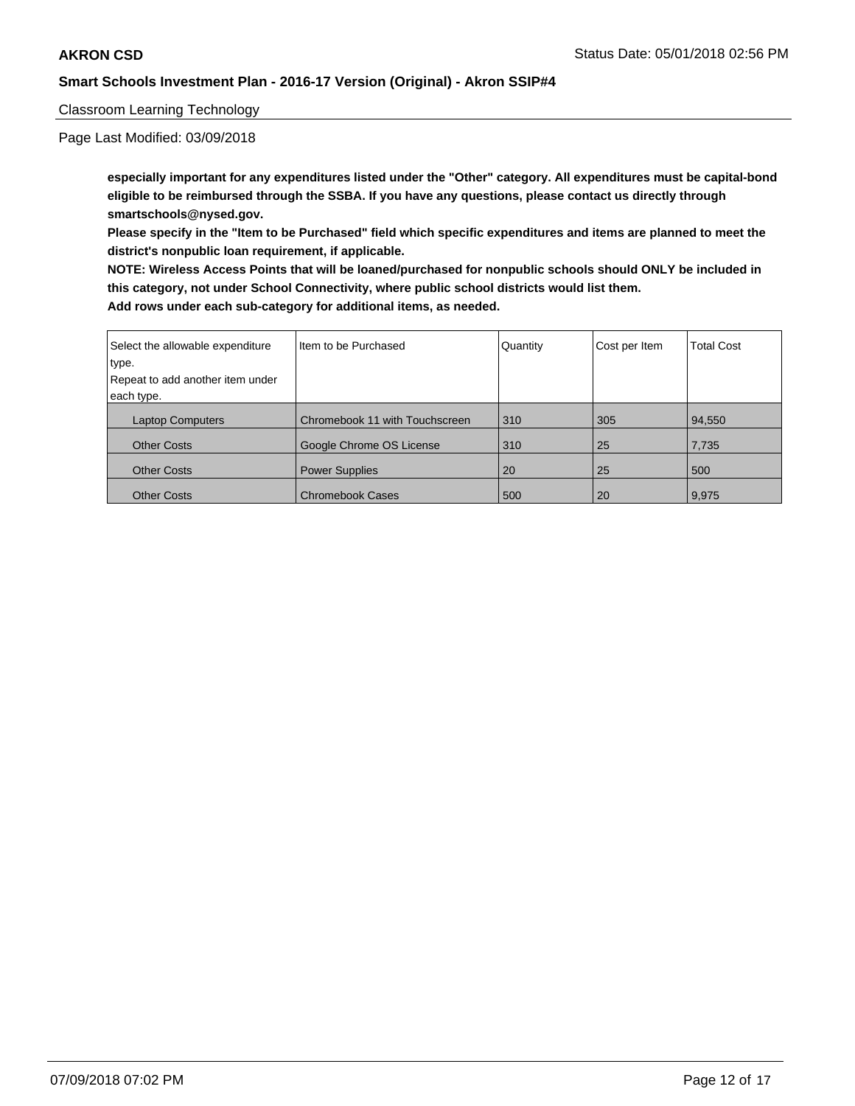### Classroom Learning Technology

Page Last Modified: 03/09/2018

**especially important for any expenditures listed under the "Other" category. All expenditures must be capital-bond eligible to be reimbursed through the SSBA. If you have any questions, please contact us directly through smartschools@nysed.gov.**

**Please specify in the "Item to be Purchased" field which specific expenditures and items are planned to meet the district's nonpublic loan requirement, if applicable.**

**NOTE: Wireless Access Points that will be loaned/purchased for nonpublic schools should ONLY be included in this category, not under School Connectivity, where public school districts would list them.**

| Select the allowable expenditure | Item to be Purchased           | Quantity | Cost per Item | <b>Total Cost</b> |
|----------------------------------|--------------------------------|----------|---------------|-------------------|
| type.                            |                                |          |               |                   |
| Repeat to add another item under |                                |          |               |                   |
| each type.                       |                                |          |               |                   |
| <b>Laptop Computers</b>          | Chromebook 11 with Touchscreen | 310      | 305           | 94,550            |
| <b>Other Costs</b>               | Google Chrome OS License       | 310      | 25            | 7,735             |
| <b>Other Costs</b>               | <b>Power Supplies</b>          | 20       | 25            | 500               |
| <b>Other Costs</b>               | <b>Chromebook Cases</b>        | 500      | 20            | 9,975             |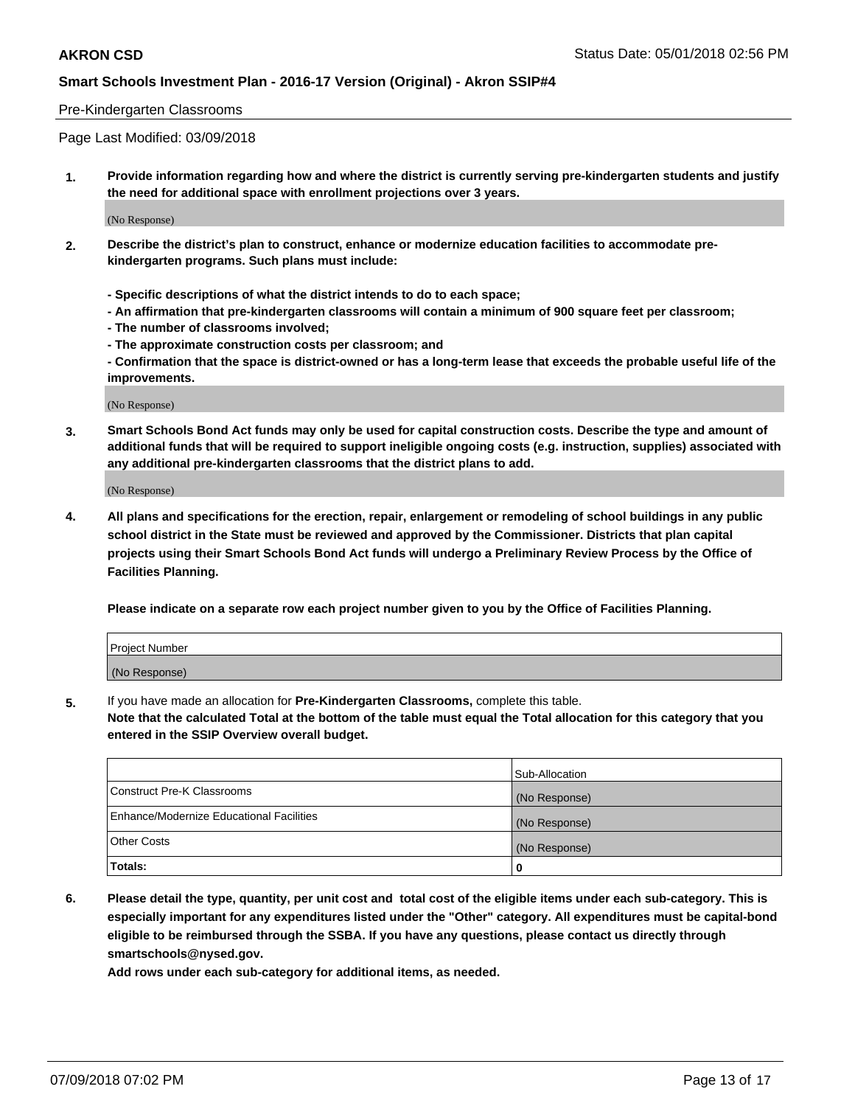#### Pre-Kindergarten Classrooms

Page Last Modified: 03/09/2018

**1. Provide information regarding how and where the district is currently serving pre-kindergarten students and justify the need for additional space with enrollment projections over 3 years.**

(No Response)

- **2. Describe the district's plan to construct, enhance or modernize education facilities to accommodate prekindergarten programs. Such plans must include:**
	- **Specific descriptions of what the district intends to do to each space;**
	- **An affirmation that pre-kindergarten classrooms will contain a minimum of 900 square feet per classroom;**
	- **The number of classrooms involved;**
	- **The approximate construction costs per classroom; and**
	- **Confirmation that the space is district-owned or has a long-term lease that exceeds the probable useful life of the improvements.**

(No Response)

**3. Smart Schools Bond Act funds may only be used for capital construction costs. Describe the type and amount of additional funds that will be required to support ineligible ongoing costs (e.g. instruction, supplies) associated with any additional pre-kindergarten classrooms that the district plans to add.**

(No Response)

**4. All plans and specifications for the erection, repair, enlargement or remodeling of school buildings in any public school district in the State must be reviewed and approved by the Commissioner. Districts that plan capital projects using their Smart Schools Bond Act funds will undergo a Preliminary Review Process by the Office of Facilities Planning.**

**Please indicate on a separate row each project number given to you by the Office of Facilities Planning.**

| <b>Project Number</b> |  |
|-----------------------|--|
| (No Response)         |  |

**5.** If you have made an allocation for **Pre-Kindergarten Classrooms,** complete this table.

**Note that the calculated Total at the bottom of the table must equal the Total allocation for this category that you entered in the SSIP Overview overall budget.**

|                                          | Sub-Allocation |
|------------------------------------------|----------------|
| Construct Pre-K Classrooms               | (No Response)  |
| Enhance/Modernize Educational Facilities | (No Response)  |
| <b>Other Costs</b>                       | (No Response)  |
| Totals:                                  | 0              |

**6. Please detail the type, quantity, per unit cost and total cost of the eligible items under each sub-category. This is especially important for any expenditures listed under the "Other" category. All expenditures must be capital-bond eligible to be reimbursed through the SSBA. If you have any questions, please contact us directly through smartschools@nysed.gov.**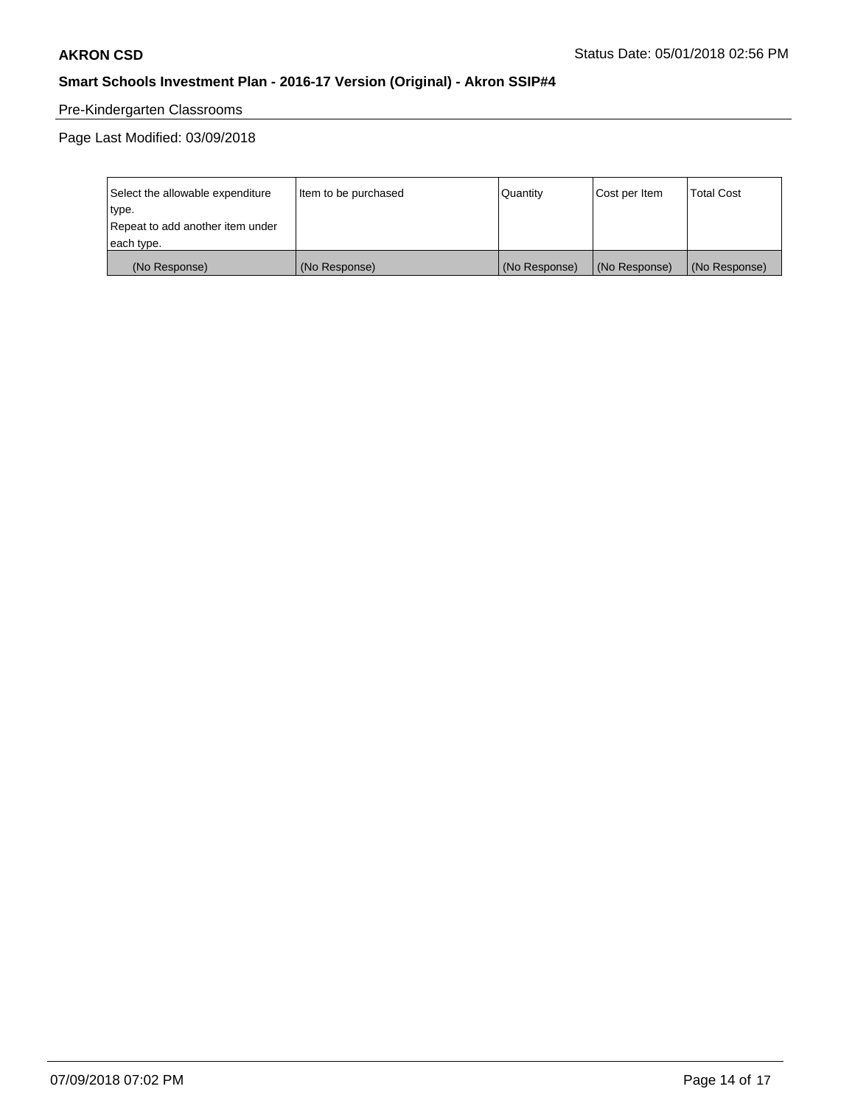# Pre-Kindergarten Classrooms

| Select the allowable expenditure | Item to be purchased | Quantity      | Cost per Item | <b>Total Cost</b> |
|----------------------------------|----------------------|---------------|---------------|-------------------|
| type.                            |                      |               |               |                   |
| Repeat to add another item under |                      |               |               |                   |
| each type.                       |                      |               |               |                   |
| (No Response)                    | (No Response)        | (No Response) | (No Response) | (No Response)     |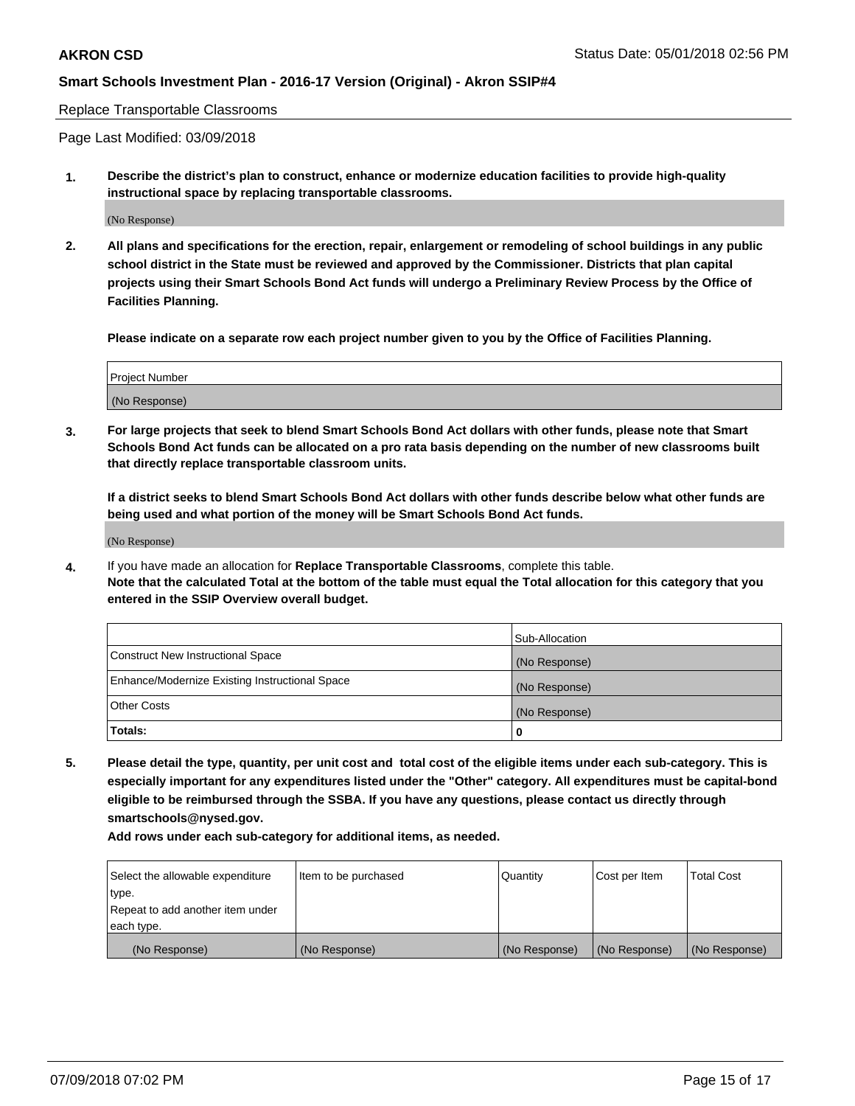#### Replace Transportable Classrooms

Page Last Modified: 03/09/2018

**1. Describe the district's plan to construct, enhance or modernize education facilities to provide high-quality instructional space by replacing transportable classrooms.**

(No Response)

**2. All plans and specifications for the erection, repair, enlargement or remodeling of school buildings in any public school district in the State must be reviewed and approved by the Commissioner. Districts that plan capital projects using their Smart Schools Bond Act funds will undergo a Preliminary Review Process by the Office of Facilities Planning.**

**Please indicate on a separate row each project number given to you by the Office of Facilities Planning.**

| Project Number |  |
|----------------|--|
| (No Response)  |  |

**3. For large projects that seek to blend Smart Schools Bond Act dollars with other funds, please note that Smart Schools Bond Act funds can be allocated on a pro rata basis depending on the number of new classrooms built that directly replace transportable classroom units.**

**If a district seeks to blend Smart Schools Bond Act dollars with other funds describe below what other funds are being used and what portion of the money will be Smart Schools Bond Act funds.**

(No Response)

**4.** If you have made an allocation for **Replace Transportable Classrooms**, complete this table. **Note that the calculated Total at the bottom of the table must equal the Total allocation for this category that you entered in the SSIP Overview overall budget.**

|                                                | Sub-Allocation |
|------------------------------------------------|----------------|
| Construct New Instructional Space              | (No Response)  |
| Enhance/Modernize Existing Instructional Space | (No Response)  |
| Other Costs                                    | (No Response)  |
| Totals:                                        | 0              |

**5. Please detail the type, quantity, per unit cost and total cost of the eligible items under each sub-category. This is especially important for any expenditures listed under the "Other" category. All expenditures must be capital-bond eligible to be reimbursed through the SSBA. If you have any questions, please contact us directly through smartschools@nysed.gov.**

| Select the allowable expenditure | Item to be purchased | Quantity      | Cost per Item | <b>Total Cost</b> |
|----------------------------------|----------------------|---------------|---------------|-------------------|
| type.                            |                      |               |               |                   |
| Repeat to add another item under |                      |               |               |                   |
| each type.                       |                      |               |               |                   |
| (No Response)                    | (No Response)        | (No Response) | (No Response) | (No Response)     |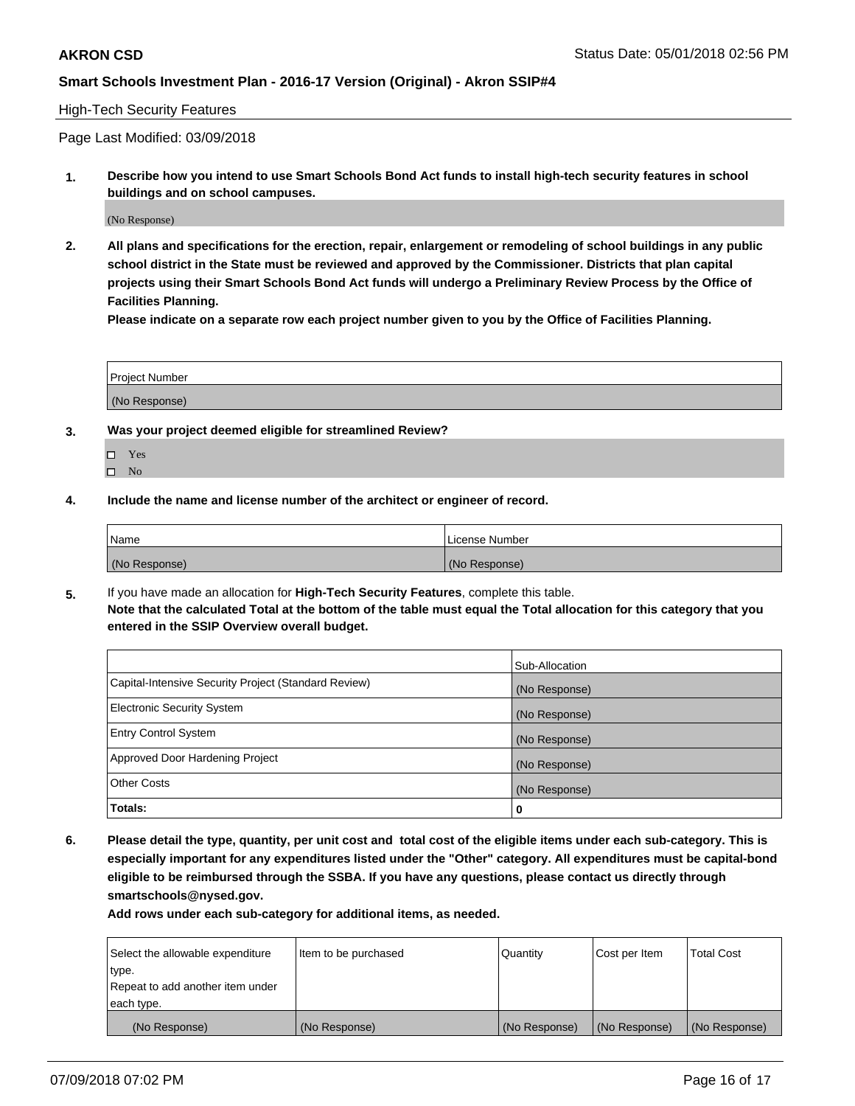### High-Tech Security Features

Page Last Modified: 03/09/2018

**1. Describe how you intend to use Smart Schools Bond Act funds to install high-tech security features in school buildings and on school campuses.**

(No Response)

**2. All plans and specifications for the erection, repair, enlargement or remodeling of school buildings in any public school district in the State must be reviewed and approved by the Commissioner. Districts that plan capital projects using their Smart Schools Bond Act funds will undergo a Preliminary Review Process by the Office of Facilities Planning.** 

**Please indicate on a separate row each project number given to you by the Office of Facilities Planning.**

| <b>Project Number</b> |  |  |
|-----------------------|--|--|
|                       |  |  |
| (No Response)         |  |  |

- **3. Was your project deemed eligible for streamlined Review?**
	- Yes  $\square$  No
- **4. Include the name and license number of the architect or engineer of record.**

| Name          | License Number |
|---------------|----------------|
| (No Response) | (No Response)  |

**5.** If you have made an allocation for **High-Tech Security Features**, complete this table. **Note that the calculated Total at the bottom of the table must equal the Total allocation for this category that you entered in the SSIP Overview overall budget.**

|                                                      | Sub-Allocation |
|------------------------------------------------------|----------------|
| Capital-Intensive Security Project (Standard Review) | (No Response)  |
| <b>Electronic Security System</b>                    | (No Response)  |
| <b>Entry Control System</b>                          | (No Response)  |
| Approved Door Hardening Project                      | (No Response)  |
| <b>Other Costs</b>                                   | (No Response)  |
| Totals:                                              | 0              |

**6. Please detail the type, quantity, per unit cost and total cost of the eligible items under each sub-category. This is especially important for any expenditures listed under the "Other" category. All expenditures must be capital-bond eligible to be reimbursed through the SSBA. If you have any questions, please contact us directly through smartschools@nysed.gov.**

| Select the allowable expenditure | Item to be purchased | Quantity      | Cost per Item | <b>Total Cost</b> |
|----------------------------------|----------------------|---------------|---------------|-------------------|
| type.                            |                      |               |               |                   |
| Repeat to add another item under |                      |               |               |                   |
| each type.                       |                      |               |               |                   |
| (No Response)                    | (No Response)        | (No Response) | (No Response) | (No Response)     |